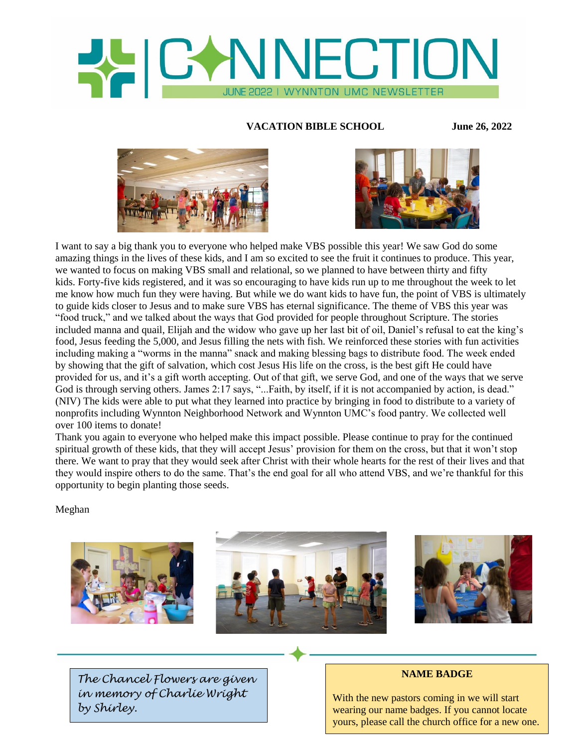

## **VACATION BIBLE SCHOOL June 26, 2022**





I want to say a big thank you to everyone who helped make VBS possible this year! We saw God do some amazing things in the lives of these kids, and I am so excited to see the fruit it continues to produce. This year, we wanted to focus on making VBS small and relational, so we planned to have between thirty and fifty kids. Forty-five kids registered, and it was so encouraging to have kids run up to me throughout the week to let me know how much fun they were having. But while we do want kids to have fun, the point of VBS is ultimately to guide kids closer to Jesus and to make sure VBS has eternal significance. The theme of VBS this year was "food truck," and we talked about the ways that God provided for people throughout Scripture. The stories included manna and quail, Elijah and the widow who gave up her last bit of oil, Daniel's refusal to eat the king's food, Jesus feeding the 5,000, and Jesus filling the nets with fish. We reinforced these stories with fun activities including making a "worms in the manna" snack and making blessing bags to distribute food. The week ended by showing that the gift of salvation, which cost Jesus His life on the cross, is the best gift He could have provided for us, and it's a gift worth accepting. Out of that gift, we serve God, and one of the ways that we serve God is through serving others. James 2:17 says, "...Faith, by itself, if it is not accompanied by action, is dead." (NIV) The kids were able to put what they learned into practice by bringing in food to distribute to a variety of nonprofits including Wynnton Neighborhood Network and Wynnton UMC's food pantry. We collected well over 100 items to donate!

Thank you again to everyone who helped make this impact possible. Please continue to pray for the continued spiritual growth of these kids, that they will accept Jesus' provision for them on the cross, but that it won't stop there. We want to pray that they would seek after Christ with their whole hearts for the rest of their lives and that they would inspire others to do the same. That's the end goal for all who attend VBS, and we're thankful for this opportunity to begin planting those seeds.

Meghan







*The Chancel Flowers are given in memory of Charlie Wright by Shirley.*

### **NAME BADGE**

With the new pastors coming in we will start wearing our name badges. If you cannot locate yours, please call the church office for a new one.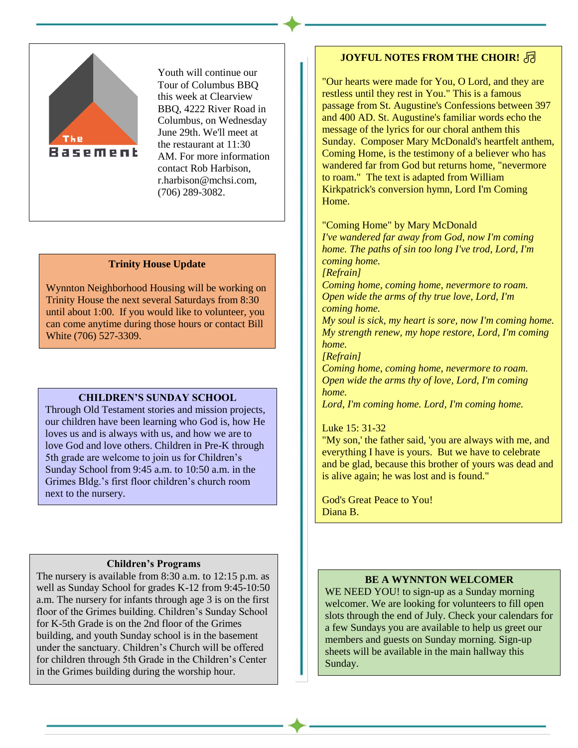

Youth will continue our Tour of Columbus BBQ this week at Clearview BBQ, 4222 River Road in Columbus, on Wednesday June 29th. We'll meet at the restaurant at 11:30 AM. For more information contact Rob Harbison, r.harbison@mchsi.com, (706) 289-3082.

### **Trinity House Update**

Wynnton Neighborhood Housing will be working on Trinity House the next several Saturdays from 8:30 until about 1:00. If you would like to volunteer, you can come anytime during those hours or contact Bill White (706) 527-3309.

#### **CHILDREN'S SUNDAY SCHOOL**

Through Old Testament stories and mission projects, our children have been learning who God is, how He loves us and is always with us, and how we are to love God and love others. Children in Pre-K through 5th grade are welcome to join us for Children's Sunday School from 9:45 a.m. to 10:50 a.m. in the Grimes Bldg.'s first floor children's church room next to the nursery.

## **Children's Programs**

The nursery is available from 8:30 a.m. to 12:15 p.m. as well as Sunday School for grades K-12 from 9:45-10:50 a.m. The nursery for infants through age 3 is on the first floor of the Grimes building. Children's Sunday School for K-5th Grade is on the 2nd floor of the Grimes building, and youth Sunday school is in the basement under the sanctuary. Children's Church will be offered for children through 5th Grade in the Children's Center in the Grimes building during the worship hour.

## **JOYFUL NOTES FROM THE CHOIR!** <sub></sub>

"Our hearts were made for You, O Lord, and they are restless until they rest in You." This is a famous passage from St. Augustine's Confessions between 397 and 400 AD. St. Augustine's familiar words echo the message of the lyrics for our choral anthem this Sunday. Composer Mary McDonald's heartfelt anthem, Coming Home, is the testimony of a believer who has wandered far from God but returns home, "nevermore to roam." The text is adapted from William Kirkpatrick's conversion hymn, Lord I'm Coming Home.

#### "Coming Home" by Mary McDonald

*I've wandered far away from God, now I'm coming home. The paths of sin too long I've trod, Lord, I'm coming home.*

*[Refrain]*

*Coming home, coming home, nevermore to roam. Open wide the arms of thy true love, Lord, I'm coming home.*

*My soul is sick, my heart is sore, now I'm coming home. My strength renew, my hope restore, Lord, I'm coming home.*

*[Refrain]*

*Coming home, coming home, nevermore to roam. Open wide the arms thy of love, Lord, I'm coming home.*

*Lord, I'm coming home. Lord, I'm coming home.*

### Luke 15: 31-32

"My son,' the father said, 'you are always with me, and everything I have is yours. But we have to celebrate and be glad, because this brother of yours was dead and is alive again; he was lost and is found."

God's Great Peace to You! Diana B.

### **BE A WYNNTON WELCOMER**

WE NEED YOU! to sign-up as a Sunday morning welcomer. We are looking for volunteers to fill open slots through the end of July. Check your calendars for a few Sundays you are available to help us greet our members and guests on Sunday morning. Sign-up sheets will be available in the main hallway this Sunday.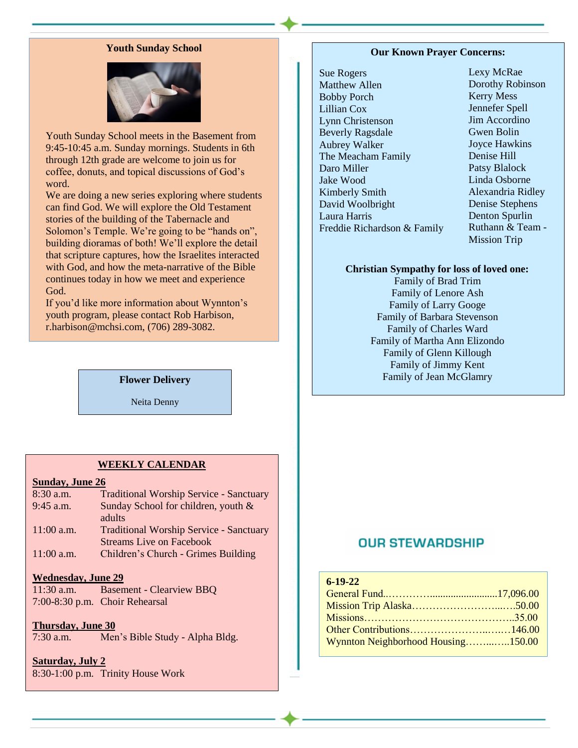## **Youth Sunday School**



Youth Sunday School meets in the Basement from 9:45-10:45 a.m. Sunday mornings. Students in 6th through 12th grade are welcome to join us for coffee, donuts, and topical discussions of God's word.

We are doing a new series exploring where students can find God. We will explore the Old Testament stories of the building of the Tabernacle and Solomon's Temple. We're going to be "hands on", building dioramas of both! We'll explore the detail that scripture captures, how the Israelites interacted with God, and how the meta-narrative of the Bible continues today in how we meet and experience God.

If you'd like more information about Wynnton's youth program, please contact Rob Harbison, r.harbison@mchsi.com, (706) 289-3082.

**Flower Delivery**

Neita Denny

### **WEEKLY CALENDAR**

### **Sunday, June 26**

| $8:30$ a.m.  | <b>Traditional Worship Service - Sanctuary</b> |
|--------------|------------------------------------------------|
| 9:45 a.m.    | Sunday School for children, youth &            |
|              | adults                                         |
| $11:00$ a.m. | <b>Traditional Worship Service - Sanctuary</b> |
|              | <b>Streams Live on Facebook</b>                |
| $11:00$ a.m. | Children's Church - Grimes Building            |

### **Wednesday, June 29**

11:30 a.m. Basement - Clearview BBQ 7:00-8:30 p.m. Choir Rehearsal

## **Thursday, June 30**

7:30 a.m. Men's Bible Study - Alpha Bldg.

## **Saturday, July 2**

8:30-1:00 p.m. Trinity House Work

### **Our Known Prayer Concerns:**

Sue Rogers Matthew Allen Bobby Porch Lillian Cox Lynn Christenson Beverly Ragsdale Aubrey Walker The Meacham Family Daro Miller Jake Wood Kimberly Smith David Woolbright Laura Harris Freddie Richardson & Family Lexy McRae Dorothy Robinson Kerry Mess Jennefer Spell Jim Accordino Gwen Bolin Joyce Hawkins Denise Hill Patsy Blalock Linda Osborne Alexandria Ridley Denise Stephens Denton Spurlin Ruthann & Team - Mission Trip

### **Christian Sympathy for loss of loved one:**

Family of Brad Trim Family of Lenore Ash Family of Larry Googe Family of Barbara Stevenson Family of Charles Ward Family of Martha Ann Elizondo Family of Glenn Killough Family of Jimmy Kent Family of Jean McGlamry

# **OUR STEWARDSHIP**

## **6-19-22**

| Wynnton Neighborhood Housing150.00 |  |
|------------------------------------|--|